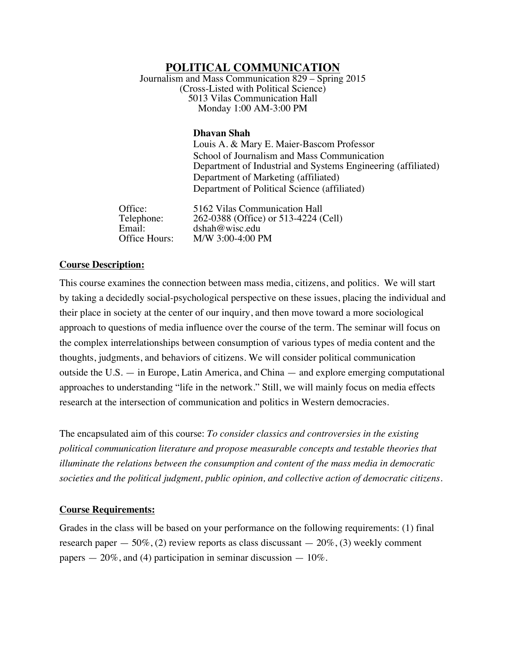# **POLITICAL COMMUNICATION**

Journalism and Mass Communication 829 – Spring 2015 (Cross-Listed with Political Science) 5013 Vilas Communication Hall Monday 1:00 AM-3:00 PM

### **Dhavan Shah**

Louis A. & Mary E. Maier-Bascom Professor School of Journalism and Mass Communication Department of Industrial and Systems Engineering (affiliated) Department of Marketing (affiliated) Department of Political Science (affiliated)

Office: 5162 Vilas Communication Hall<br>Telephone: 262-0388 (Office) or 513-4224 ( 262-0388 (Office) or 513-4224 (Cell) Email: dshah@wisc.edu<br>Office Hours: M/W 3:00-4:00 P M/W 3:00-4:00 PM

### **Course Description:**

This course examines the connection between mass media, citizens, and politics. We will start by taking a decidedly social-psychological perspective on these issues, placing the individual and their place in society at the center of our inquiry, and then move toward a more sociological approach to questions of media influence over the course of the term. The seminar will focus on the complex interrelationships between consumption of various types of media content and the thoughts, judgments, and behaviors of citizens. We will consider political communication outside the U.S. — in Europe, Latin America, and China — and explore emerging computational approaches to understanding "life in the network." Still, we will mainly focus on media effects research at the intersection of communication and politics in Western democracies.

The encapsulated aim of this course: *To consider classics and controversies in the existing political communication literature and propose measurable concepts and testable theories that illuminate the relations between the consumption and content of the mass media in democratic societies and the political judgment, public opinion, and collective action of democratic citizens*.

## **Course Requirements:**

Grades in the class will be based on your performance on the following requirements: (1) final research paper  $-50\%$ , (2) review reports as class discussant  $-20\%$ , (3) weekly comment papers  $-20\%$ , and (4) participation in seminar discussion  $-10\%$ .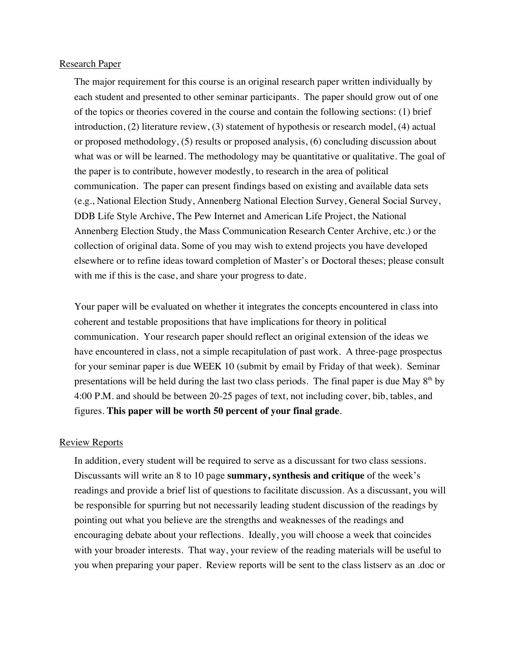### Research Paper

The major requirement for this course is an original research paper written individually by each student and presented to other seminar participants. The paper should grow out of one of the topics or theories covered in the course and contain the following sections: (1) brief introduction, (2) literature review, (3) statement of hypothesis or research model, (4) actual or proposed methodology, (5) results or proposed analysis, (6) concluding discussion about what was or will be learned. The methodology may be quantitative or qualitative. The goal of the paper is to contribute, however modestly, to research in the area of political communication. The paper can present findings based on existing and available data sets (e.g., National Election Study, Annenberg National Election Survey, General Social Survey, DDB Life Style Archive, The Pew Internet and American Life Project, the National Annenberg Election Study, the Mass Communication Research Center Archive, etc.) or the collection of original data. Some of you may wish to extend projects you have developed elsewhere or to refine ideas toward completion of Master's or Doctoral theses; please consult with me if this is the case, and share your progress to date.

Your paper will be evaluated on whether it integrates the concepts encountered in class into coherent and testable propositions that have implications for theory in political communication. Your research paper should reflect an original extension of the ideas we have encountered in class, not a simple recapitulation of past work. A three-page prospectus for your seminar paper is due WEEK 10 (submit by email by Friday of that week). Seminar presentations will be held during the last two class periods. The final paper is due May  $8<sup>th</sup>$  by 4:00 P.M. and should be between 20-25 pages of text, not including cover, bib, tables, and figures. **This paper will be worth 50 percent of your final grade**.

### Review Reports

In addition, every student will be required to serve as a discussant for two class sessions. Discussants will write an 8 to 10 page **summary, synthesis and critique** of the week's readings and provide a brief list of questions to facilitate discussion. As a discussant, you will be responsible for spurring but not necessarily leading student discussion of the readings by pointing out what you believe are the strengths and weaknesses of the readings and encouraging debate about your reflections. Ideally, you will choose a week that coincides with your broader interests. That way, your review of the reading materials will be useful to you when preparing your paper. Review reports will be sent to the class listserv as an .doc or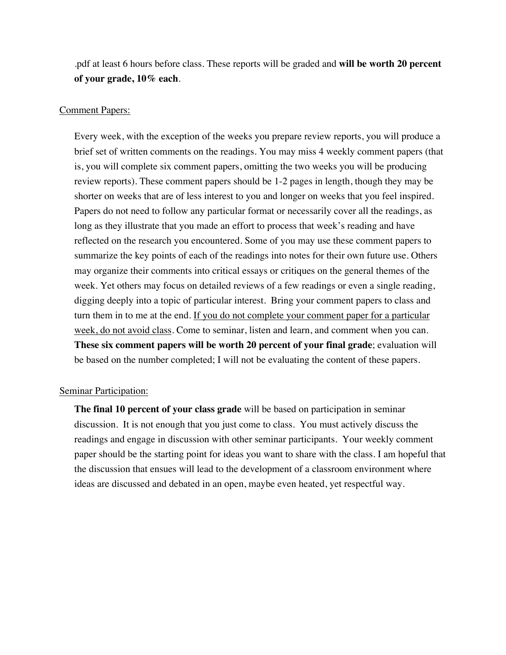.pdf at least 6 hours before class. These reports will be graded and **will be worth 20 percent of your grade, 10% each**.

### Comment Papers:

Every week, with the exception of the weeks you prepare review reports, you will produce a brief set of written comments on the readings. You may miss 4 weekly comment papers (that is, you will complete six comment papers, omitting the two weeks you will be producing review reports). These comment papers should be 1-2 pages in length, though they may be shorter on weeks that are of less interest to you and longer on weeks that you feel inspired. Papers do not need to follow any particular format or necessarily cover all the readings, as long as they illustrate that you made an effort to process that week's reading and have reflected on the research you encountered. Some of you may use these comment papers to summarize the key points of each of the readings into notes for their own future use. Others may organize their comments into critical essays or critiques on the general themes of the week. Yet others may focus on detailed reviews of a few readings or even a single reading, digging deeply into a topic of particular interest. Bring your comment papers to class and turn them in to me at the end. If you do not complete your comment paper for a particular week, do not avoid class. Come to seminar, listen and learn, and comment when you can. **These six comment papers will be worth 20 percent of your final grade**; evaluation will be based on the number completed; I will not be evaluating the content of these papers.

## Seminar Participation:

**The final 10 percent of your class grade** will be based on participation in seminar discussion. It is not enough that you just come to class. You must actively discuss the readings and engage in discussion with other seminar participants. Your weekly comment paper should be the starting point for ideas you want to share with the class. I am hopeful that the discussion that ensues will lead to the development of a classroom environment where ideas are discussed and debated in an open, maybe even heated, yet respectful way.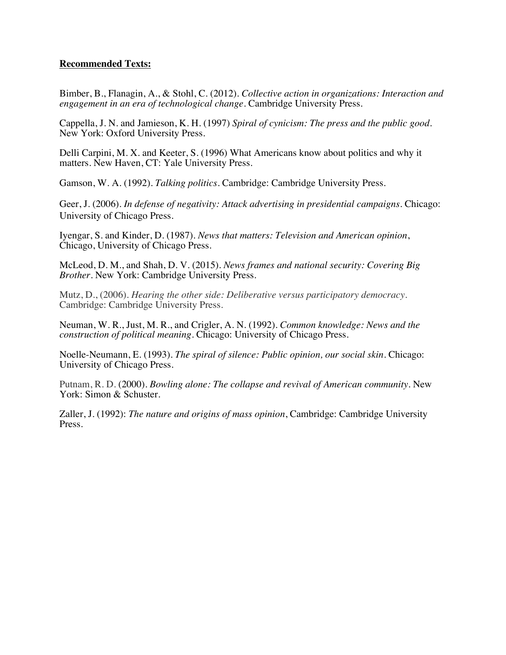## **Recommended Texts:**

Bimber, B., Flanagin, A., & Stohl, C. (2012). *Collective action in organizations: Interaction and engagement in an era of technological change*. Cambridge University Press.

Cappella, J. N. and Jamieson, K. H. (1997) *Spiral of cynicism: The press and the public good*. New York: Oxford University Press.

Delli Carpini, M. X. and Keeter, S. (1996) What Americans know about politics and why it matters. New Haven, CT: Yale University Press.

Gamson, W. A. (1992). *Talking politics*. Cambridge: Cambridge University Press.

Geer, J. (2006). *In defense of negativity: Attack advertising in presidential campaigns*. Chicago: University of Chicago Press.

Iyengar, S. and Kinder, D. (1987). *News that matters: Television and American opinion*, Chicago, University of Chicago Press.

McLeod, D. M., and Shah, D. V. (2015). *News frames and national security: Covering Big Brother.* New York: Cambridge University Press.

Mutz, D., (2006). *Hearing the other side: Deliberative versus participatory democracy*. Cambridge: Cambridge University Press.

Neuman, W. R., Just, M. R., and Crigler, A. N. (1992). *Common knowledge: News and the construction of political meaning*. Chicago: University of Chicago Press.

Noelle-Neumann, E. (1993). *The spiral of silence: Public opinion, our social skin*. Chicago: University of Chicago Press.

Putnam, R. D. (2000). *Bowling alone: The collapse and revival of American community.* New York: Simon & Schuster.

Zaller, J. (1992): *The nature and origins of mass opinion*, Cambridge: Cambridge University Press.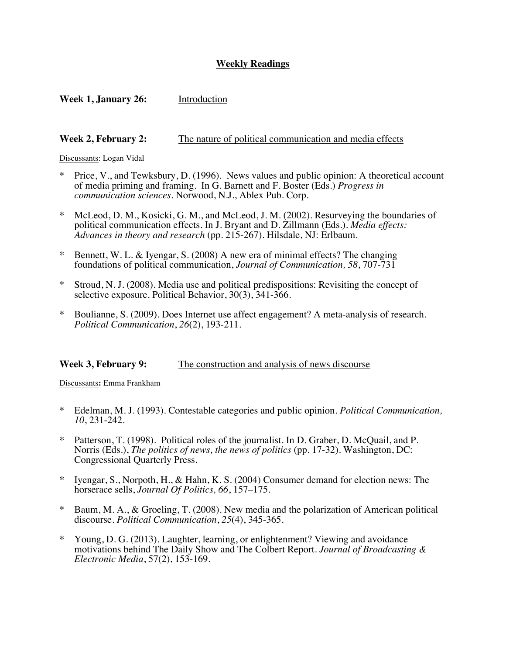## **Weekly Readings**

**Week 1, January 26:** Introduction

## **Week 2, February 2:** The nature of political communication and media effects

#### Discussants: Logan Vidal

- Price, V., and Tewksbury, D. (1996). News values and public opinion: A theoretical account of media priming and framing. In G. Barnett and F. Boster (Eds.) *Progress in communication sciences*. Norwood, N.J., Ablex Pub. Corp.
- McLeod, D. M., Kosicki, G. M., and McLeod, J. M. (2002). Resurveying the boundaries of political communication effects. In J. Bryant and D. Zillmann (Eds.). *Media effects: Advances in theory and research* (pp. 215-267). Hilsdale, NJ: Erlbaum.
- Bennett, W. L. & Iyengar, S. (2008) A new era of minimal effects? The changing foundations of political communication, *Journal of Communication, 58*, 707-731
- Stroud, N. J. (2008). Media use and political predispositions: Revisiting the concept of selective exposure. Political Behavior, 30(3), 341-366.
- Boulianne, S. (2009). Does Internet use affect engagement? A meta-analysis of research. *Political Communication*, *26*(2), 193-211.

## **Week 3, February 9:** The construction and analysis of news discourse

Discussants**:** Emma Frankham

- \* Edelman, M. J. (1993). Contestable categories and public opinion. *Political Communication, 10*, 231-242.
- \* Patterson, T. (1998). Political roles of the journalist. In D. Graber, D. McQuail, and P. Norris (Eds.), *The politics of news, the news of politics* (pp. 17-32). Washington, DC: Congressional Quarterly Press.
- Iyengar, S., Norpoth, H., & Hahn, K. S. (2004) Consumer demand for election news: The horserace sells, *Journal Of Politics, 66*, 157–175.
- Baum, M. A., & Groeling, T. (2008). New media and the polarization of American political discourse. *Political Communication*, *25*(4), 345-365.
- \* Young, D. G. (2013). Laughter, learning, or enlightenment? Viewing and avoidance motivations behind The Daily Show and The Colbert Report. *Journal of Broadcasting & Electronic Media*, 57(2), 153-169.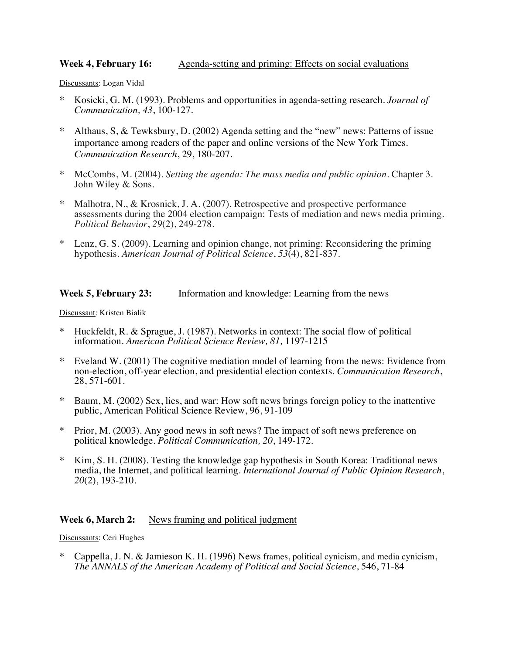## **Week 4, February 16:** Agenda-setting and priming: Effects on social evaluations

Discussants: Logan Vidal

- \* Kosicki, G. M. (1993). Problems and opportunities in agenda-setting research. *Journal of Communication, 43*, 100-127.
- Althaus, S, & Tewksbury, D. (2002) Agenda setting and the "new" news: Patterns of issue importance among readers of the paper and online versions of the New York Times. *Communication Research*, 29, 180-207.
- \* McCombs, M. (2004). *Setting the agenda: The mass media and public opinion*. Chapter 3. John Wiley & Sons.
- Malhotra, N., & Krosnick, J. A. (2007). Retrospective and prospective performance assessments during the 2004 election campaign: Tests of mediation and news media priming. *Political Behavior*, *29*(2), 249-278.
- Lenz, G. S. (2009). Learning and opinion change, not priming: Reconsidering the priming hypothesis. *American Journal of Political Science*, *53*(4), 821-837.

## **Week 5, February 23:** Information and knowledge: Learning from the news

Discussant: Kristen Bialik

- Huckfeldt, R. & Sprague, J. (1987). Networks in context: The social flow of political information. *American Political Science Review, 81,* 1197-1215
- Eveland W. (2001) The cognitive mediation model of learning from the news: Evidence from non-election, off-year election, and presidential election contexts. *Communication Research*, 28, 571-601.
- Baum, M. (2002) Sex, lies, and war: How soft news brings foreign policy to the inattentive public, American Political Science Review, 96, 91-109
- \* Prior, M. (2003). Any good news in soft news? The impact of soft news preference on political knowledge. *Political Communication, 20*, 149-172.
- Kim, S. H. (2008). Testing the knowledge gap hypothesis in South Korea: Traditional news media, the Internet, and political learning. *International Journal of Public Opinion Research*, *20*(2), 193-210.

### **Week 6, March 2:** News framing and political judgment

Discussants: Ceri Hughes

Cappella, J. N. & Jamieson K. H. (1996) News frames, political cynicism, and media cynicism, *The ANNALS of the American Academy of Political and Social Science*, 546, 71-84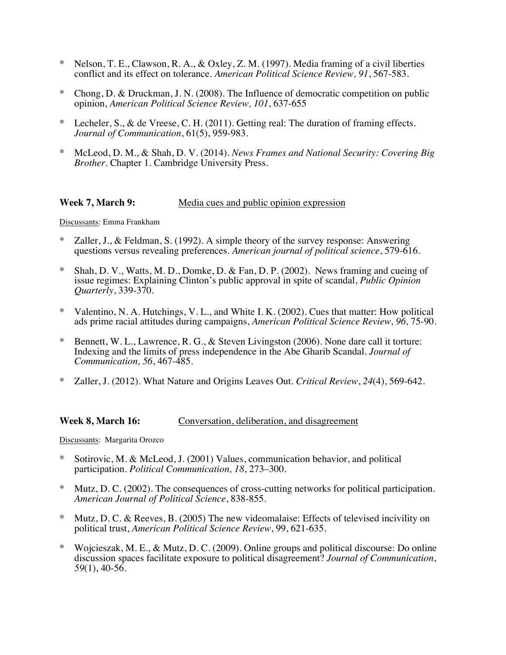- \* Nelson, T. E., Clawson, R. A., & Oxley, Z. M. (1997). Media framing of a civil liberties conflict and its effect on tolerance. *American Political Science Review, 91*, 567-583.
- \* Chong, D. & Druckman, J. N. (2008). The Influence of democratic competition on public opinion, *American Political Science Review, 101*, 637-655
- Lecheler, S., & de Vreese, C. H. (2011). Getting real: The duration of framing effects. *Journal of Communication*, 61(5), 959-983.
- \* McLeod, D. M., & Shah, D. V. (2014). *News Frames and National Security: Covering Big Brother*. Chapter 1. Cambridge University Press.

### **Week 7, March 9:** Media cues and public opinion expression

Discussants: Emma Frankham

- Zaller, J., & Feldman, S. (1992). A simple theory of the survey response: Answering questions versus revealing preferences. *American journal of political science*, 579-616.
- Shah, D. V., Watts, M. D., Domke, D. & Fan, D. P. (2002). News framing and cueing of issue regimes: Explaining Clinton's public approval in spite of scandal, *Public Opinion Quarterly*, 339-370.
- \* Valentino, N. A. Hutchings, V. L., and White I. K. (2002). Cues that matter: How political ads prime racial attitudes during campaigns, *American Political Science Review, 96,* 75-90.
- Bennett, W. L., Lawrence, R. G., & Steven Livingston (2006). None dare call it torture: Indexing and the limits of press independence in the Abe Gharib Scandal. *Journal of Communication, 56*, 467-485.
- \* Zaller, J. (2012). What Nature and Origins Leaves Out. *Critical Review*, *24*(4), 569-642.

#### **Week 8, March 16:** Conversation, deliberation, and disagreement

Discussants: Margarita Orozco

- Sotirovic, M. & McLeod, J. (2001) Values, communication behavior, and political participation. *Political Communication, 18*, 273–300.
- Mutz, D. C. (2002). The consequences of cross-cutting networks for political participation. *American Journal of Political Science*, 838-855.
- Mutz, D. C. & Reeves, B. (2005) The new videomalaise: Effects of televised incivility on political trust, *American Political Science Review*, 99, 621-635.
- Woicieszak, M. E., & Mutz, D. C. (2009). Online groups and political discourse: Do online discussion spaces facilitate exposure to political disagreement? *Journal of Communication*, *59*(1), 40-56.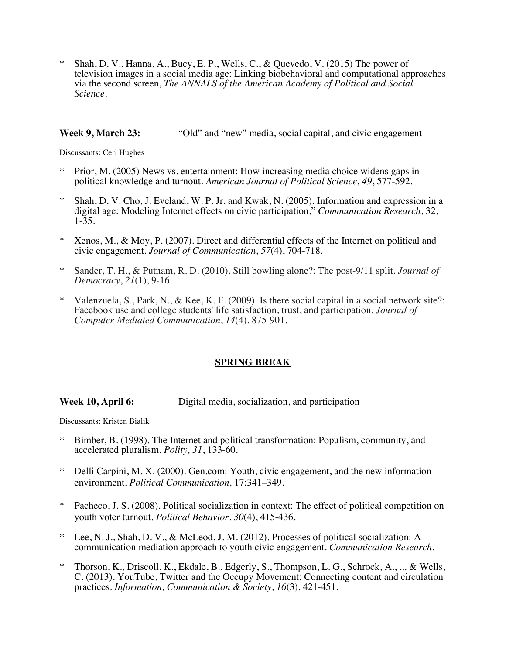\* Shah, D. V., Hanna, A., Bucy, E. P., Wells, C., & Quevedo, V. (2015) The power of television images in a social media age: Linking biobehavioral and computational approaches via the second screen, *The ANNALS of the American Academy of Political and Social Science*.

## **Week 9, March 23:** "Old" and "new" media, social capital, and civic engagement

Discussants: Ceri Hughes

- Prior, M. (2005) News vs. entertainment: How increasing media choice widens gaps in political knowledge and turnout. *American Journal of Political Science, 49*, 577-592.
- Shah, D. V. Cho, J. Eveland, W. P. Jr. and Kwak, N. (2005). Information and expression in a digital age: Modeling Internet effects on civic participation," *Communication Research*, 32, 1-35.
- \* Xenos, M., & Moy, P. (2007). Direct and differential effects of the Internet on political and civic engagement. *Journal of Communication*, *57*(4), 704-718.
- \* Sander, T. H., & Putnam, R. D. (2010). Still bowling alone?: The post-9/11 split. *Journal of Democracy*, *21*(1), 9-16.
- \* Valenzuela, S., Park, N., & Kee, K. F. (2009). Is there social capital in a social network site?: Facebook use and college students' life satisfaction, trust, and participation. *Journal of Computer*‐*Mediated Communication*, *14*(4), 875-901.

## **SPRING BREAK**

## **Week 10, April 6:** Digital media, socialization, and participation

Discussants: Kristen Bialik

- \* Bimber, B. (1998). The Internet and political transformation: Populism, community, and accelerated pluralism. *Polity, 31*, 133-60.
- \* Delli Carpini, M. X. (2000). Gen.com: Youth, civic engagement, and the new information environment, *Political Communication,* 17:341–349.
- Pacheco, J. S. (2008). Political socialization in context: The effect of political competition on youth voter turnout. *Political Behavior*, *30*(4), 415-436.
- Lee, N. J., Shah, D. V., & McLeod, J. M. (2012). Processes of political socialization: A communication mediation approach to youth civic engagement. *Communication Research*.
- \* Thorson, K., Driscoll, K., Ekdale, B., Edgerly, S., Thompson, L. G., Schrock, A., ... & Wells, C. (2013). YouTube, Twitter and the Occupy Movement: Connecting content and circulation practices. *Information, Communication & Society*, *16*(3), 421-451.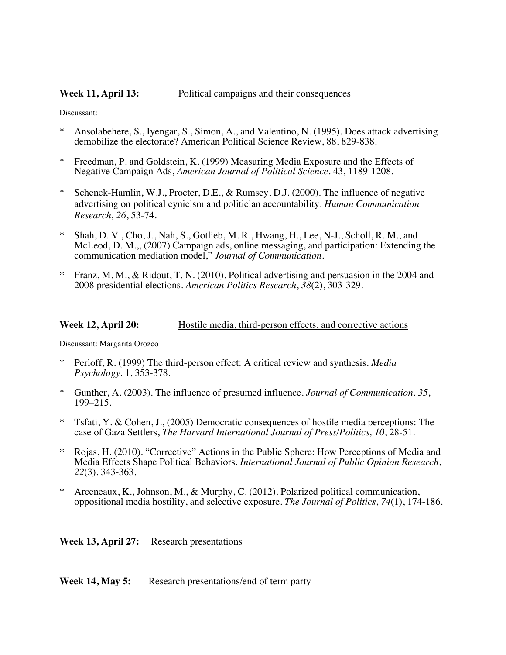### **Week 11, April 13:** Political campaigns and their consequences

#### Discussant:

- Ansolabehere, S., Iyengar, S., Simon, A., and Valentino, N. (1995). Does attack advertising demobilize the electorate? American Political Science Review, 88, 829-838.
- Freedman, P. and Goldstein, K. (1999) Measuring Media Exposure and the Effects of Negative Campaign Ads, *American Journal of Political Science*. 43, 1189-1208.
- Schenck-Hamlin, W.J., Procter, D.E., & Rumsey, D.J. (2000). The influence of negative advertising on political cynicism and politician accountability. *Human Communication Research, 26*, 53-74.
- \* Shah, D. V., Cho, J., Nah, S., Gotlieb, M. R., Hwang, H., Lee, N-J., Scholl, R. M., and McLeod, D. M.,, (2007) Campaign ads, online messaging, and participation: Extending the communication mediation model," *Journal of Communication*.
- Franz, M. M., & Ridout, T. N. (2010). Political advertising and persuasion in the 2004 and 2008 presidential elections. *American Politics Research*, *38*(2), 303-329.

#### **Week 12, April 20:** Hostile media, third-person effects, and corrective actions

Discussant: Margarita Orozco

- \* Perloff, R. (1999) The third-person effect: A critical review and synthesis. *Media Psychology*. 1, 353-378.
- \* Gunther, A. (2003). The influence of presumed influence. *Journal of Communication, 35*, 199–215.
- Tsfati, Y. & Cohen, J., (2005) Democratic consequences of hostile media perceptions: The case of Gaza Settlers, *The Harvard International Journal of Press/Politics, 10*, 28-51.
- \* Rojas, H. (2010). "Corrective" Actions in the Public Sphere: How Perceptions of Media and Media Effects Shape Political Behaviors. *International Journal of Public Opinion Research*, *22*(3), 343-363.
- \* Arceneaux, K., Johnson, M., & Murphy, C. (2012). Polarized political communication, oppositional media hostility, and selective exposure. *The Journal of Politics*, *74*(1), 174-186.

**Week 13, April 27:** Research presentations

**Week 14, May 5:** Research presentations/end of term party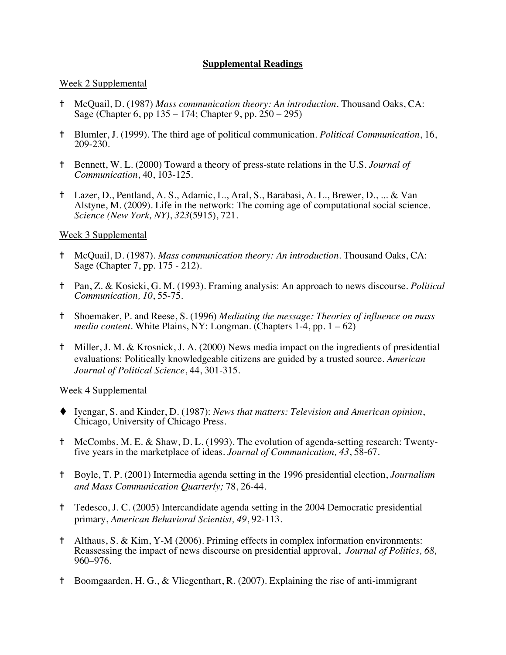## **Supplemental Readings**

### Week 2 Supplemental

- ✝ McQuail, D. (1987) *Mass communication theory: An introduction*. Thousand Oaks, CA: Sage (Chapter 6, pp 135 – 174; Chapter 9, pp. 250 – 295)
- ✝ Blumler, J. (1999). The third age of political communication. *Political Communication*, 16, 209-230.
- ✝ Bennett, W. L. (2000) Toward a theory of press-state relations in the U.S. *Journal of Communication*, 40, 103-125.
- ✝ Lazer, D., Pentland, A. S., Adamic, L., Aral, S., Barabasi, A. L., Brewer, D., ... & Van Alstyne, M. (2009). Life in the network: The coming age of computational social science. *Science (New York, NY)*, *323*(5915), 721.

### Week 3 Supplemental

- ✝ McQuail, D. (1987). *Mass communication theory: An introduction*. Thousand Oaks, CA: Sage (Chapter 7, pp. 175 - 212).
- ✝ Pan, Z. & Kosicki, G. M. (1993). Framing analysis: An approach to news discourse. *Political Communication, 10*, 55-75.
- ✝ Shoemaker, P. and Reese, S. (1996) *Mediating the message: Theories of influence on mass media content*. White Plains, NY: Longman. (Chapters 1-4, pp. 1 – 62)
- ✝ Miller, J. M. & Krosnick, J. A. (2000) News media impact on the ingredients of presidential evaluations: Politically knowledgeable citizens are guided by a trusted source. *American Journal of Political Science*, 44, 301-315.

## Week 4 Supplemental

- t Iyengar, S. and Kinder, D. (1987): *News that matters: Television and American opinion*, Chicago, University of Chicago Press.
- ✝ McCombs. M. E. & Shaw, D. L. (1993). The evolution of agenda-setting research: Twenty- five years in the marketplace of ideas. *Journal of Communication, 43*, 58-67.
- ✝ Boyle, T. P. (2001) Intermedia agenda setting in the 1996 presidential election, *Journalism and Mass Communication Quarterly;* 78, 26-44.
- ✝ Tedesco, J. C. (2005) Intercandidate agenda setting in the 2004 Democratic presidential primary, *American Behavioral Scientist, 49*, 92-113.
- ✝ Althaus, S. & Kim, Y-M (2006). Priming effects in complex information environments: Reassessing the impact of news discourse on presidential approval, *Journal of Politics, 68,* 960–976.
- ✝ Boomgaarden, H. G., & Vliegenthart, R. (2007). Explaining the rise of anti-immigrant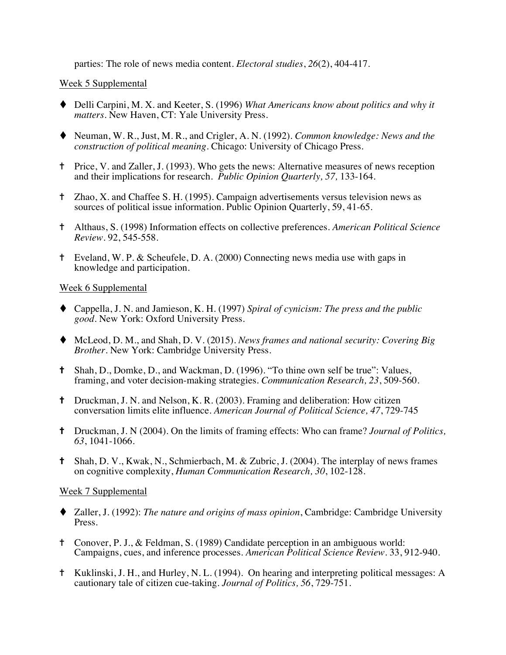parties: The role of news media content. *Electoral studies*, *26*(2), 404-417.

### Week 5 Supplemental

- ◆ Delli Carpini, M. X. and Keeter, S. (1996) *What Americans know about politics and why it matters*. New Haven, CT: Yale University Press.
- ◆ Neuman, W. R., Just, M. R., and Crigler, A. N. (1992). *Common knowledge: News and the construction of political meaning*. Chicago: University of Chicago Press.
- ✝ Price, V. and Zaller, J. (1993). Who gets the news: Alternative measures of news reception and their implications for research. *Public Opinion Quarterly, 57,* 133-164.
- ✝ Zhao, X. and Chaffee S. H. (1995). Campaign advertisements versus television news as sources of political issue information. Public Opinion Quarterly, 59, 41-65.
- ✝ Althaus, S. (1998) Information effects on collective preferences. *American Political Science Review*. 92, 545-558.
- ✝ Eveland, W. P. & Scheufele, D. A. (2000) Connecting news media use with gaps in knowledge and participation.

### Week 6 Supplemental

- t Cappella, J. N. and Jamieson, K. H. (1997) *Spiral of cynicism: The press and the public good*. New York: Oxford University Press.
- ◆ McLeod, D. M., and Shah, D. V. (2015). *News frames and national security: Covering Big Brother.* New York: Cambridge University Press.
- ✝ Shah, D., Domke, D., and Wackman, D. (1996). "To thine own self be true": Values, framing, and voter decision-making strategies. *Communication Research, 23*, 509-560.
- ✝ Druckman, J. N. and Nelson, K. R. (2003). Framing and deliberation: How citizen conversation limits elite influence. *American Journal of Political Science, 47*, 729-745
- ✝ Druckman, J. N (2004). On the limits of framing effects: Who can frame? *Journal of Politics, 63*, 1041-1066.
- ✝ Shah, D. V., Kwak, N., Schmierbach, M. & Zubric, J. (2004). The interplay of news frames on cognitive complexity, *Human Communication Research, 30*, 102-128.

## Week 7 Supplemental

- t Zaller, J. (1992): *The nature and origins of mass opinion*, Cambridge: Cambridge University Press.
- ✝ Conover, P. J., & Feldman, S. (1989) Candidate perception in an ambiguous world: Campaigns, cues, and inference processes. *American Political Science Review*. 33, 912-940.
- ✝ Kuklinski, J. H., and Hurley, N. L. (1994). On hearing and interpreting political messages: A cautionary tale of citizen cue-taking. *Journal of Politics, 56*, 729-751.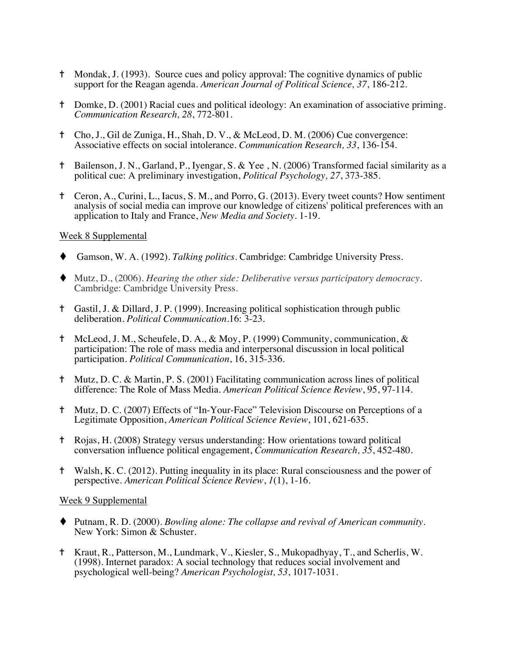- <sup> $\dagger$ </sup> Mondak, J. (1993). Source cues and policy approval: The cognitive dynamics of public support for the Reagan agenda. *American Journal of Political Science, 37*, 186-212.
- ✝ Domke, D. (2001) Racial cues and political ideology: An examination of associative priming. *Communication Research, 28*, 772-801.
- ✝ Cho, J., Gil de Zuniga, H., Shah, D. V., & McLeod, D. M. (2006) Cue convergence: Associative effects on social intolerance. *Communication Research, 33*, 136-154.
- ✝ Bailenson, J. N., Garland, P., Iyengar, S. & Yee , N. (2006) Transformed facial similarity as a political cue: A preliminary investigation, *Political Psychology, 27*, 373-385.
- ✝ Ceron, A., Curini, L., Iacus, S. M., and Porro, G. (2013). Every tweet counts? How sentiment analysis of social media can improve our knowledge of citizens' political preferences with an application to Italy and France, *New Media and Society*. 1-19.

#### Week 8 Supplemental

- t Gamson, W. A. (1992). *Talking politics*. Cambridge: Cambridge University Press.
- t Mutz, D., (2006). *Hearing the other side: Deliberative versus participatory democracy*. Cambridge: Cambridge University Press.
- ✝ Gastil, J. & Dillard, J. P. (1999). Increasing political sophistication through public deliberation. *Political Communication*.16: 3-23.
- ✝ McLeod, J. M., Scheufele, D. A., & Moy, P. (1999) Community, communication, & participation: The role of mass media and interpersonal discussion in local political participation. *Political Communication*, 16, 315-336.
- ✝ Mutz, D. C. & Martin, P. S. (2001) Facilitating communication across lines of political difference: The Role of Mass Media. *American Political Science Review*, 95, 97-114.
- ✝ Mutz, D. C. (2007) Effects of "In-Your-Face" Television Discourse on Perceptions of a Legitimate Opposition, *American Political Science Review*, 101, 621-635.
- ✝ Rojas, H. (2008) Strategy versus understanding: How orientations toward political conversation influence political engagement, *Communication Research, 35*, 452-480.
- ✝ Walsh, K. C. (2012). Putting inequality in its place: Rural consciousness and the power of perspective. *American Political Science Review*, *1*(1), 1-16.

#### Week 9 Supplemental

- ◆ Putnam, R. D. (2000). *Bowling alone: The collapse and revival of American community*. New York: Simon & Schuster.
- ✝ Kraut, R., Patterson, M., Lundmark, V., Kiesler, S., Mukopadhyay, T., and Scherlis, W. (1998). Internet paradox: A social technology that reduces social involvement and psychological well-being? *American Psychologist, 53*, 1017-1031.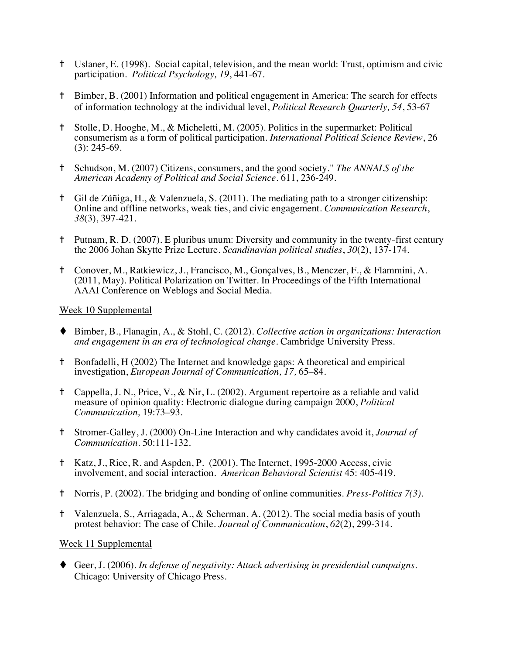- ✝ Uslaner, E. (1998). Social capital, television, and the mean world: Trust, optimism and civic participation. *Political Psychology, 19*, 441-67.
- ✝ Bimber, B. (2001) Information and political engagement in America: The search for effects of information technology at the individual level, *Political Research Quarterly, 54*, 53-67
- ✝ Stolle, D. Hooghe, M., & Micheletti, M. (2005). Politics in the supermarket: Political consumerism as a form of political participation. *International Political Science Review*, 26 (3): 245-69.
- ✝ Schudson, M. (2007) Citizens, consumers, and the good society." *The ANNALS of the American Academy of Political and Social Science*. 611, 236-249.
- ✝ Gil de Zúñiga, H., & Valenzuela, S. (2011). The mediating path to a stronger citizenship: Online and offline networks, weak ties, and civic engagement. *Communication Research*, *38*(3), 397-421.
- ✝ Putnam, R. D. (2007). E pluribus unum: Diversity and community in the twenty‐first century the 2006 Johan Skytte Prize Lecture. *Scandinavian political studies*, *30*(2), 137-174.
- ✝ Conover, M., Ratkiewicz, J., Francisco, M., Gonçalves, B., Menczer, F., & Flammini, A. (2011, May). Political Polarization on Twitter. In Proceedings of the Fifth International AAAI Conference on Weblogs and Social Media*.*

### Week 10 Supplemental

- ◆ Bimber, B., Flanagin, A., & Stohl, C. (2012). *Collective action in organizations: Interaction and engagement in an era of technological change.* Cambridge University Press.
- ✝ Bonfadelli, H (2002) The Internet and knowledge gaps: A theoretical and empirical investigation, *European Journal of Communication, 17,* 65–84*.*
- ✝ Cappella, J. N., Price, V., & Nir, L. (2002). Argument repertoire as a reliable and valid measure of opinion quality: Electronic dialogue during campaign 2000, *Political Communication,* 19:73–93.
- ✝ Stromer-Galley, J. (2000) On-Line Interaction and why candidates avoid it, *Journal of Communication*. 50:111-132.
- ✝ Katz, J., Rice, R. and Aspden, P. (2001). The Internet, 1995-2000 Access, civic involvement, and social interaction. *American Behavioral Scientist* 45: 405-419.
- ✝ Norris, P. (2002). The bridging and bonding of online communities. *Press-Politics 7(3).*
- ✝ Valenzuela, S., Arriagada, A., & Scherman, A. (2012). The social media basis of youth protest behavior: The case of Chile. *Journal of Communication*, *62*(2), 299-314.

## Week 11 Supplemental

◆ Geer, J. (2006). *In defense of negativity: Attack advertising in presidential campaigns.* Chicago: University of Chicago Press.